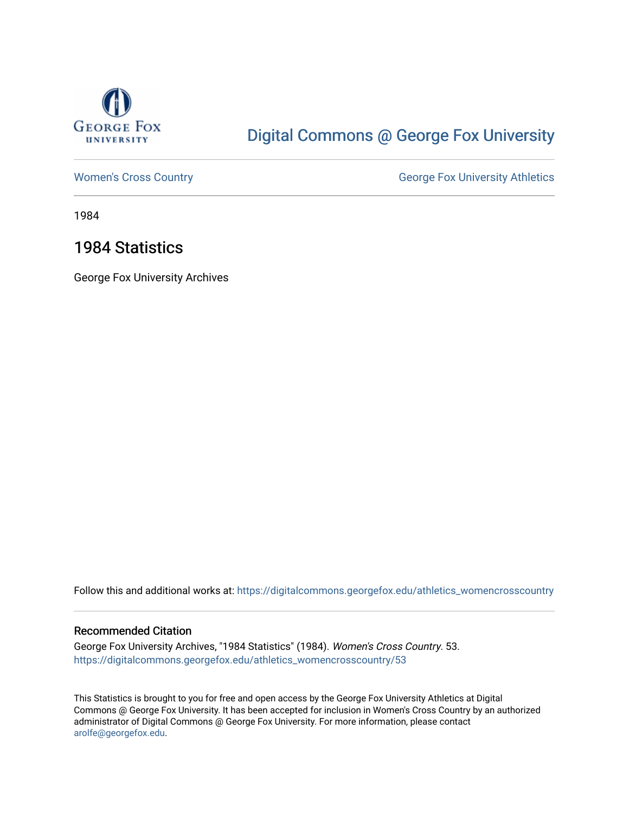

## [Digital Commons @ George Fox University](https://digitalcommons.georgefox.edu/)

[Women's Cross Country](https://digitalcommons.georgefox.edu/athletics_womencrosscountry) **George Fox University Athletics** George Fox University Athletics

1984

## 1984 Statistics

George Fox University Archives

Follow this and additional works at: [https://digitalcommons.georgefox.edu/athletics\\_womencrosscountry](https://digitalcommons.georgefox.edu/athletics_womencrosscountry?utm_source=digitalcommons.georgefox.edu%2Fathletics_womencrosscountry%2F53&utm_medium=PDF&utm_campaign=PDFCoverPages)

## Recommended Citation

George Fox University Archives, "1984 Statistics" (1984). Women's Cross Country. 53. [https://digitalcommons.georgefox.edu/athletics\\_womencrosscountry/53](https://digitalcommons.georgefox.edu/athletics_womencrosscountry/53?utm_source=digitalcommons.georgefox.edu%2Fathletics_womencrosscountry%2F53&utm_medium=PDF&utm_campaign=PDFCoverPages) 

This Statistics is brought to you for free and open access by the George Fox University Athletics at Digital Commons @ George Fox University. It has been accepted for inclusion in Women's Cross Country by an authorized administrator of Digital Commons @ George Fox University. For more information, please contact [arolfe@georgefox.edu.](mailto:arolfe@georgefox.edu)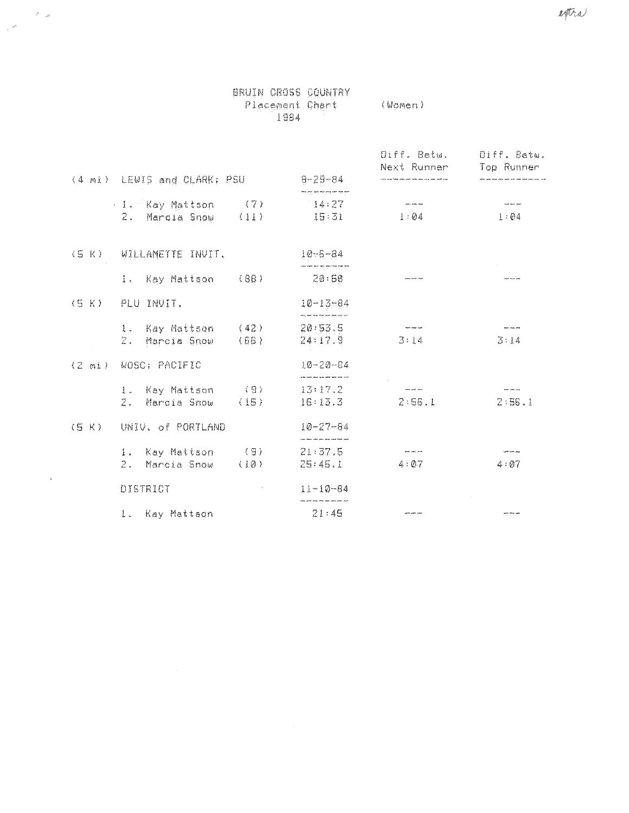|       |                                         |                      | BRUIN CROSS COUNTRY<br>Placement Chart<br>1984                  | (Women)                                                                                           |                                                                                           |  |
|-------|-----------------------------------------|----------------------|-----------------------------------------------------------------|---------------------------------------------------------------------------------------------------|-------------------------------------------------------------------------------------------|--|
|       | (4 mi) LEWIS and CLARK; PSU             |                      | $9 - 29 - 84$                                                   | Diff. Betw.<br>Next Runner<br>.<br>Little same from under work before some word, word annot prop. | Diff, Betu.<br>Top Runner<br>.<br>State game were state were more wear awar awar mou, van |  |
|       |                                         |                      |                                                                 |                                                                                                   |                                                                                           |  |
|       | . 1. Kay Mattson<br>2. Marqia Show (11) | $\langle 7 \rangle$  | 14:27<br>15:31                                                  | <b>Send With Dire</b><br>1:04                                                                     | <b>Service And</b><br>1:04                                                                |  |
|       | (5 K) WILLAMETTE INVIT.                 |                      | $10 - 5 - 34$                                                   |                                                                                                   |                                                                                           |  |
|       | 1. Kay Mattson (88)                     |                      | 20:50                                                           |                                                                                                   |                                                                                           |  |
|       | (5 K) PLU INVIT.                        |                      | $10 - 13 - 84$<br>أتباد شاه والمسافير بالماليس أنسا أشبا        |                                                                                                   |                                                                                           |  |
|       | 1. Kay Mattson (42)<br>2. Marcia Snow   | $\langle 66 \rangle$ | 20:53.5<br>24:17.9                                              | 3:14                                                                                              | <b>Warranton</b><br>3:14                                                                  |  |
|       | (2 mi) WOSC; PACIFIC                    |                      | 10-20-84<br>.<br>And hatch back rack, with sites and providers. |                                                                                                   |                                                                                           |  |
|       | 1. Kay Mattson (9)                      |                      | 13:17.2                                                         | متدعير نيتر                                                                                       |                                                                                           |  |
|       | 2. Marcia Snow                          | (15)                 | 16:13.3                                                         | 2:56.1                                                                                            | 2:56.1                                                                                    |  |
| (S K) | UNIV, of PORTLAND                       |                      | $10 - 27 - 84$<br>.<br>An Aban calcul gaig them come fund angle |                                                                                                   |                                                                                           |  |
|       | 1. Kay Mattson (9)                      |                      | 21.37.5                                                         | <b>The contract and</b>                                                                           | سيم معاوجتها                                                                              |  |
|       | 2. Marcia Snow                          | (10)                 | 25:45.1                                                         | 4:0.7                                                                                             | 4:07                                                                                      |  |
|       | DISTRICT                                |                      | $11 - 10 - 84$                                                  |                                                                                                   |                                                                                           |  |
|       | 1. Kay Mattson                          |                      | 21:45                                                           | يبعث بمين بمبيد                                                                                   | بعيا بدمه بسير                                                                            |  |

 $\label{eq:2.1} \frac{\mathcal{R}_{\text{c}}}{\mathcal{R}_{\text{c}}} = \frac{\mathcal{R}_{\text{c}}}{\mathcal{R}_{\text{c}}}$ 

 $\mathcal{L}(\bar{b},a)$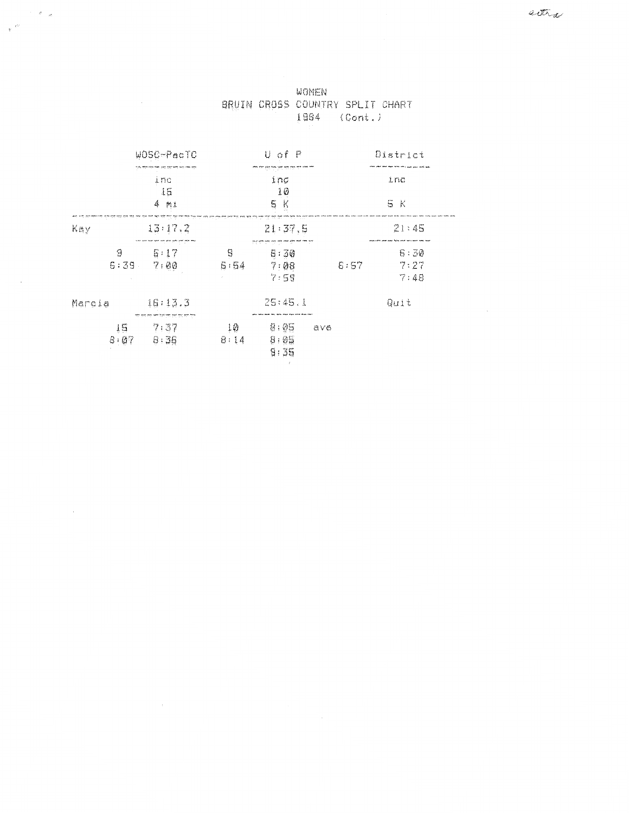| x<br>- | 才記 |  |
|--------|----|--|
|        |    |  |
|        |    |  |

 $\sim$ 

|            | WOSC-PacTO                                                     | U of P     |                                                                      |      | District             |  |
|------------|----------------------------------------------------------------|------------|----------------------------------------------------------------------|------|----------------------|--|
|            | ina<br>15<br>4 m1                                              |            | ستبد عند عمل من عليه منها منها<br>inc<br>10<br>5<br>$\mathbb K$      |      | inc<br>5 K           |  |
| Kay        | 13:17.7                                                        |            | 21:37.5                                                              |      | 21:45                |  |
| 9          | 5:17<br>$6:39$ $7:00$                                          | S<br>5:54  | and his hop will not have been the wear, and<br>5:30<br>7:08<br>7:55 | 6:57 | 6:30<br>7:27<br>7:48 |  |
| Marcia     | 16:13.3                                                        |            | 25:45.1                                                              |      | Quit                 |  |
| 15<br>8:07 | गरेर कुछ तरह जाए दिले गाड़ा कुछ गुरु, तरण गुरु<br>7:37<br>8:35 | 10<br>8:14 | 8:95<br>ave<br>8:85<br>9:35                                          |      |                      |  |

 $\sim$   $\epsilon$   $_{\odot}$ 

 $\sim$   $\epsilon$ 

 $\epsilon$ 

WOMEN BRUIN CROSS COUNTRY SPLIT CHART 1984 (Cont.)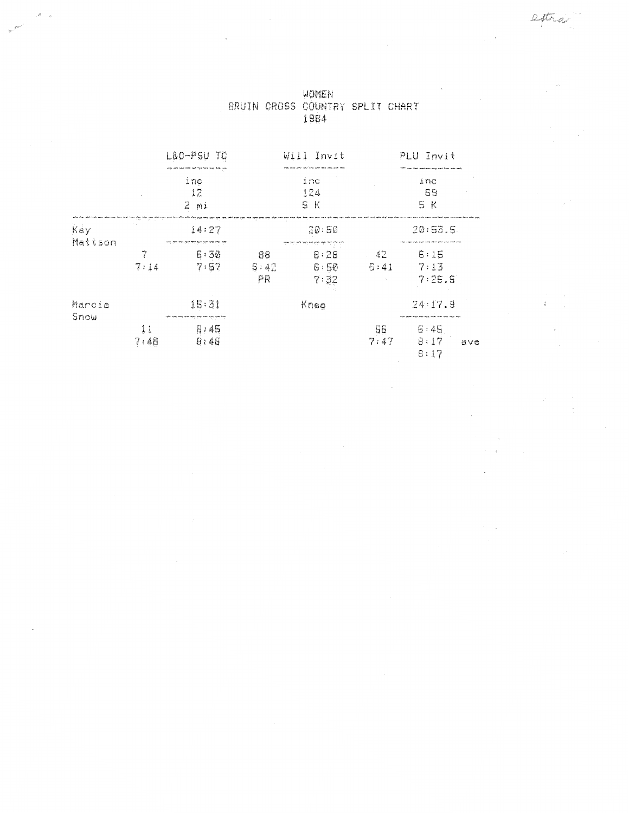extra

 $\mathbb{R}^3$ 

 $\frac{1}{4} \left( \begin{array}{cc} 1 & 0 \\ 0 & 1 \end{array} \right)$ 

 $\sim$ 

 $\frac{1}{2}$ 

 $\frac{1}{2}$ 

 $\mathcal{L}^{\pm}$ 

 $\sim$   $\sim$  $\tau=\frac{1}{2}$ 

 $\sim$ 

 $\lambda_{\rm{max}}$ 

|                |            | L&C-PSU<br>ΤC     |                  | Will Invit           |               | PLU Invit                   |
|----------------|------------|-------------------|------------------|----------------------|---------------|-----------------------------|
|                |            | ine<br>12<br>2 mi |                  | inc<br>124<br>S K    |               | inc<br>59<br>5 K            |
| Kay<br>Mattson |            | 14:27             |                  | 20:50                |               | 20:53.5                     |
|                | 7<br>7:14  | 8:30<br>7:57      | 88<br>6:42<br>ΡR | 6:28<br>G:50<br>7:32 | $-42$<br>6:41 | 6:15<br>7:13<br>7:25.5      |
| Marcia         |            | 15:31             |                  | Knee                 |               | 24:17.9                     |
| Sriow          | ĺ1<br>7:46 | 6,45<br>0:40      |                  |                      | 66<br>7:47    | 6:45<br>8:17<br>ave<br>8:17 |

 $\bar{\mathcal{A}}$ 

 $\frac{1}{2}$ 

WOMEN BRUIN CROSS COUNTRY SPLIT CHART<br>1984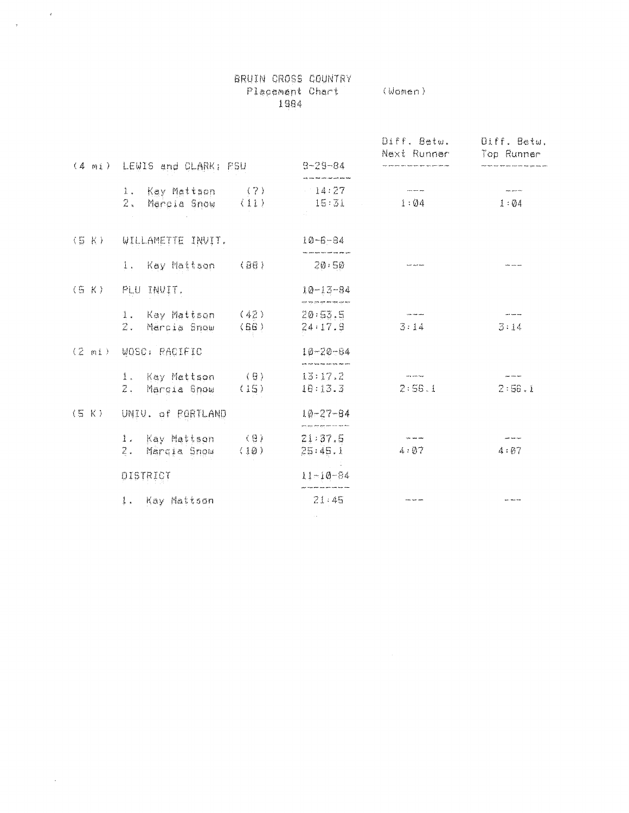|       |                                                    |                        | Placement Chart (Women)<br>1984                                               |                                                                                               |                     |
|-------|----------------------------------------------------|------------------------|-------------------------------------------------------------------------------|-----------------------------------------------------------------------------------------------|---------------------|
|       | (4 mi) LEWIS and CLARK; RSU                        |                        | $9 - 29 - 84$                                                                 | Diff. Betw. Uiff. Betw.<br>Next Runner<br>.<br>A shika ashu watu ƙasar katik Agini yasu uchun | Top Runner          |
|       | 1. Kay Mattson (7)<br>$2$ . Marsia Snow (11)       |                        | 14:27<br>$15:31$ $1:04$                                                       | للمعاصف منعاة                                                                                 | and provide<br>1:04 |
| (5 K) | WILLAMETTE INVIT.<br>1. Kay Mattson                | $\langle$ 80 $\rangle$ | $10 - 6 - 84$<br>.<br>In part with fixed contracts and prime with<br>$-20.50$ |                                                                                               |                     |
| (S K) | PLU INVIT.                                         |                        | $10 - 13 - 84$                                                                |                                                                                               |                     |
|       | 1. Kay Mattson (42) 20:53.5<br>2. Márcia Snow (66) |                        | 24:17.9                                                                       | $\sim$ 1000 minimum minimum.<br>3:14                                                          | and can see<br>3:14 |
|       | (2 mi) WQSC: RACIEIC                               |                        | $10 - 20 - 84$                                                                |                                                                                               |                     |
|       | 1. Kay Mattson $(B)$ 13:17.2<br>2. Marcia Snow     | (15)                   | 10:13.3                                                                       | <b>The Same Proje</b><br>2:56.1                                                               | 2:56.1              |
| (5 K) | UNIV. of ROBTLAND                                  |                        | $10 - 27 - 64$<br>arm you don't put you are not apa they                      |                                                                                               |                     |
|       | 1. Kay Mattson (9)<br>2. Marqia Snow (10)          |                        | 21:37.5<br>25:45.1                                                            | <b>The same sime</b><br>4:07                                                                  | and working<br>4:07 |
|       | DISTRICT                                           |                        | $11 - 10 - 84$                                                                |                                                                                               |                     |
|       | 1. Kay Mattson                                     |                        | 21:45                                                                         | تعيف عنهاء بعدد                                                                               |                     |

BRUIN CROSS COUNTRY

 $\sim 10^{-1}$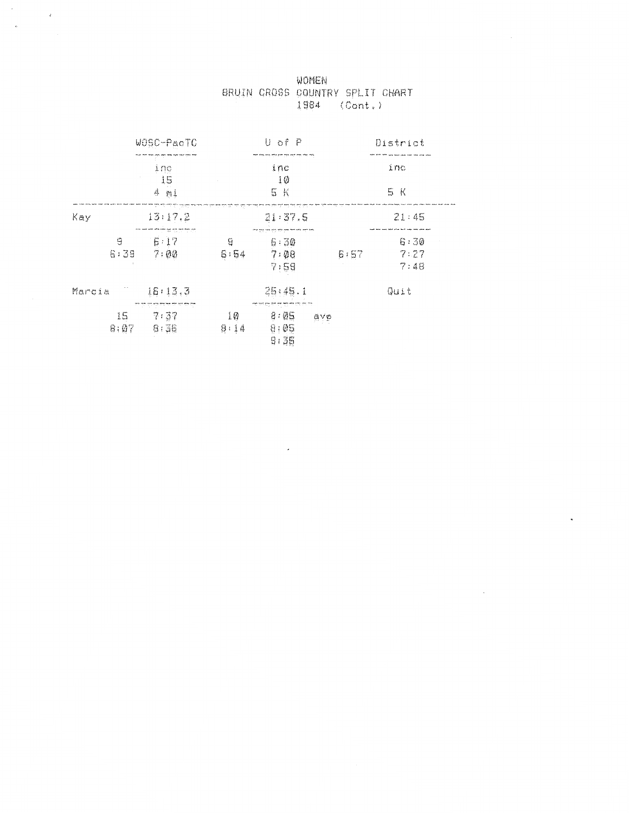|  | WOMEN                           |         |  |
|--|---------------------------------|---------|--|
|  | BRUIN CROSS COUNTRY SPLIT CHART |         |  |
|  | 1984                            | (Cont.) |  |

|            | WOSC-PacTC                                                       |                 | U of P                                                     |      | District             |  |
|------------|------------------------------------------------------------------|-----------------|------------------------------------------------------------|------|----------------------|--|
|            | ing<br>15                                                        |                 | ine<br>10                                                  |      | inc                  |  |
|            | $4$ $m1$                                                         |                 | 5 K                                                        |      | 5 K                  |  |
| Kay        | 13:17.2                                                          | 22.18           | 21:37.5                                                    |      | 21:45                |  |
| G<br>6:39  | والمتواطئ والمتواطن والمتواطن والمستور والمتواطن<br>5:17<br>7:00 | ម្ន<br>6:54     | 시대 전에 대표 전체 연합 수행 하지 마련도 모른 도전<br>6:30<br>7:00<br>7,59     | 6:57 | 6:30<br>7:27<br>7:48 |  |
| Marcia     | 16:13.3                                                          |                 | 25:45.1                                                    |      | Quit                 |  |
| 15<br>8:07 | ملك مته بنام عند المراجع ملة منه على<br>7.37<br>6:36             | $10 \,$<br>8:14 | ਸਾਹਿਲ ਸਾਂ ਦਰ ਵਿੱਚ ਸਾਂ ਦੇਸ਼ ਦੇ ਸਾਂਝ<br>8:05<br>8:05<br>9:35 | ₫Y€  |                      |  |

 $\mathbf{z} = \mathbf{z}$ 

 $\sim$